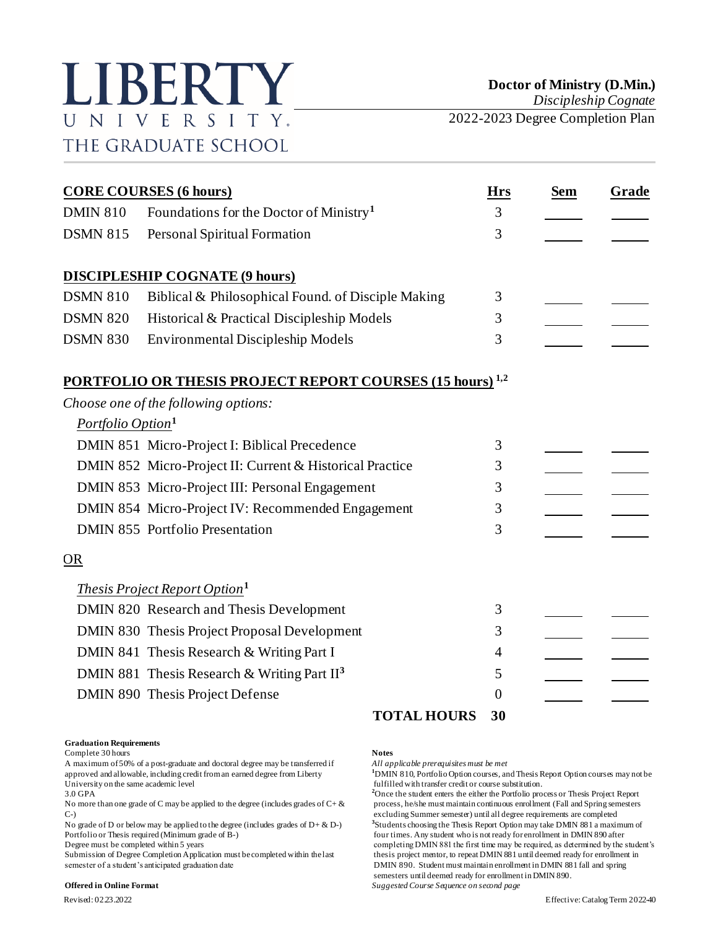

*Discipleship Cognate*

2022-2023 Degree Completion Plan

| <b>CORE COURSES (6 hours)</b> |                                                                             |                | <b>Sem</b> | Grade |
|-------------------------------|-----------------------------------------------------------------------------|----------------|------------|-------|
| <b>DMIN 810</b>               | Foundations for the Doctor of Ministry <sup>1</sup>                         | 3              |            |       |
| <b>DSMN 815</b>               | Personal Spiritual Formation                                                | 3              |            |       |
|                               | <b>DISCIPLESHIP COGNATE (9 hours)</b>                                       |                |            |       |
| <b>DSMN 810</b>               | Biblical & Philosophical Found. of Disciple Making                          | 3              |            |       |
| <b>DSMN 820</b>               | Historical & Practical Discipleship Models                                  | 3              |            |       |
| <b>DSMN 830</b>               | <b>Environmental Discipleship Models</b>                                    | 3              |            |       |
|                               | <b>PORTFOLIO OR THESIS PROJECT REPORT COURSES (15 hours)</b> <sup>1,2</sup> |                |            |       |
|                               | Choose one of the following options:                                        |                |            |       |
| Portfolio Option <sup>1</sup> |                                                                             |                |            |       |
|                               | DMIN 851 Micro-Project I: Biblical Precedence                               | 3              |            |       |
|                               | DMIN 852 Micro-Project II: Current & Historical Practice                    | 3              |            |       |
|                               | DMIN 853 Micro-Project III: Personal Engagement                             | 3              |            |       |
|                               | DMIN 854 Micro-Project IV: Recommended Engagement                           | 3              |            |       |
|                               | <b>DMIN 855 Portfolio Presentation</b>                                      | 3              |            |       |
| OR                            |                                                                             |                |            |       |
|                               | <i>Thesis Project Report Option</i> <sup>1</sup>                            |                |            |       |
|                               | DMIN 820 Research and Thesis Development                                    | 3              |            |       |
|                               | DMIN 830 Thesis Project Proposal Development                                | 3              |            |       |
|                               | DMIN 841 Thesis Research & Writing Part I                                   | 4              |            |       |
|                               | DMIN 881 Thesis Research & Writing Part II <sup>3</sup>                     | 5              |            |       |
|                               | DMIN 890 Thesis Project Defense                                             | $\overline{0}$ |            |       |
|                               | <b>TOTAL HOURS</b>                                                          | 30             |            |       |

### **Graduation Requirements**

Complete 30 hours **Notes**

A maximum of 50% of a post-graduate and doctoral degree may be transferred if *All applicable prerequisites must be met* approved and allowable, including credit from an earned degree from Liberty **1**DMIN 810, Portfolio Option courses, and Thesis Report Option courses may not be fulfilled with transfer credit or course substitution. University on the same academic level<br>
3.0 GPA<br>
<sup>2</sup>Once the student enters the either the Portfolio pro-

No grade of D or below may be applied to the degree (includes grades of  $D + \& D$ -)

semester of a student's anticipated graduation date DMIN 890. Student must maintain enrollment in DMIN 881 fall and spring

<sup>2</sup>Once the student enters the either the Portfolio process or Thesis Project Report No more than one grade of C may be applied to the degree (includes grades of  $C + \&$  process, he/she must maintain continuous enrollment (Fall and Spring semesters C-) excluding Summer semester) until all degree requirements are completed **3** Students choosing the Thesis Report Option may take DMIN 881 a maximum of Portfolio or Thesis required (Minimum grade of B-) four times. Any student who is not ready for enrollment in DMIN 890 after<br>Degree must be completed within 5 years for example the student who is not ready for enrollment i completing DMIN 881 the first time may be required, as determined by the student's Submission of Degree Completion Application must be completed within the last thesis project mentor, to repeat DMIN 881 until deemed ready for enrollment in semesters until deemed ready for enrollment in DMIN 890.

**Offered in Online Format** *Suggested Course Sequence on second page*